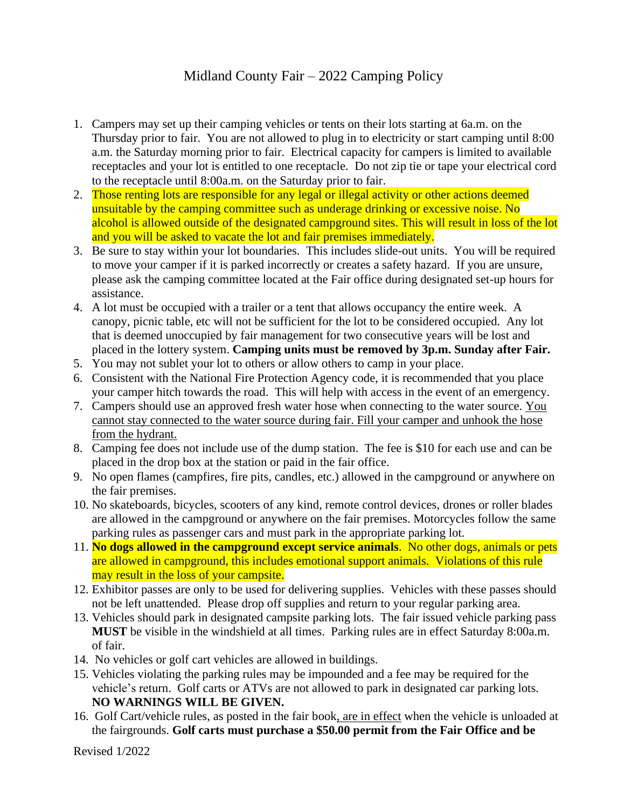## Midland County Fair – 2022 Camping Policy

- 1. Campers may set up their camping vehicles or tents on their lots starting at 6a.m. on the Thursday prior to fair. You are not allowed to plug in to electricity or start camping until 8:00 a.m. the Saturday morning prior to fair. Electrical capacity for campers is limited to available receptacles and your lot is entitled to one receptacle. Do not zip tie or tape your electrical cord to the receptacle until 8:00a.m. on the Saturday prior to fair.
- 2. Those renting lots are responsible for any legal or illegal activity or other actions deemed unsuitable by the camping committee such as underage drinking or excessive noise. No alcohol is allowed outside of the designated campground sites. This will result in loss of the lot and you will be asked to vacate the lot and fair premises immediately.
- 3. Be sure to stay within your lot boundaries. This includes slide-out units. You will be required to move your camper if it is parked incorrectly or creates a safety hazard. If you are unsure, please ask the camping committee located at the Fair office during designated set-up hours for assistance.
- 4. A lot must be occupied with a trailer or a tent that allows occupancy the entire week. A canopy, picnic table, etc will not be sufficient for the lot to be considered occupied. Any lot that is deemed unoccupied by fair management for two consecutive years will be lost and placed in the lottery system. **Camping units must be removed by 3p.m. Sunday after Fair.**
- 5. You may not sublet your lot to others or allow others to camp in your place.
- 6. Consistent with the National Fire Protection Agency code, it is recommended that you place your camper hitch towards the road. This will help with access in the event of an emergency.
- 7. Campers should use an approved fresh water hose when connecting to the water source. You cannot stay connected to the water source during fair. Fill your camper and unhook the hose from the hydrant.
- 8. Camping fee does not include use of the dump station. The fee is \$10 for each use and can be placed in the drop box at the station or paid in the fair office.
- 9. No open flames (campfires, fire pits, candles, etc.) allowed in the campground or anywhere on the fair premises.
- 10. No skateboards, bicycles, scooters of any kind, remote control devices, drones or roller blades are allowed in the campground or anywhere on the fair premises. Motorcycles follow the same parking rules as passenger cars and must park in the appropriate parking lot.
- 11. **No dogs allowed in the campground except service animals**. No other dogs, animals or pets are allowed in campground, this includes emotional support animals. Violations of this rule may result in the loss of your campsite.
- 12. Exhibitor passes are only to be used for delivering supplies. Vehicles with these passes should not be left unattended. Please drop off supplies and return to your regular parking area.
- 13. Vehicles should park in designated campsite parking lots. The fair issued vehicle parking pass **MUST** be visible in the windshield at all times. Parking rules are in effect Saturday 8:00a.m. of fair.
- 14. No vehicles or golf cart vehicles are allowed in buildings.
- 15. Vehicles violating the parking rules may be impounded and a fee may be required for the vehicle's return. Golf carts or ATVs are not allowed to park in designated car parking lots. **NO WARNINGS WILL BE GIVEN.**
- 16. Golf Cart/vehicle rules, as posted in the fair book, are in effect when the vehicle is unloaded at the fairgrounds. **Golf carts must purchase a \$50.00 permit from the Fair Office and be**

Revised 1/2022